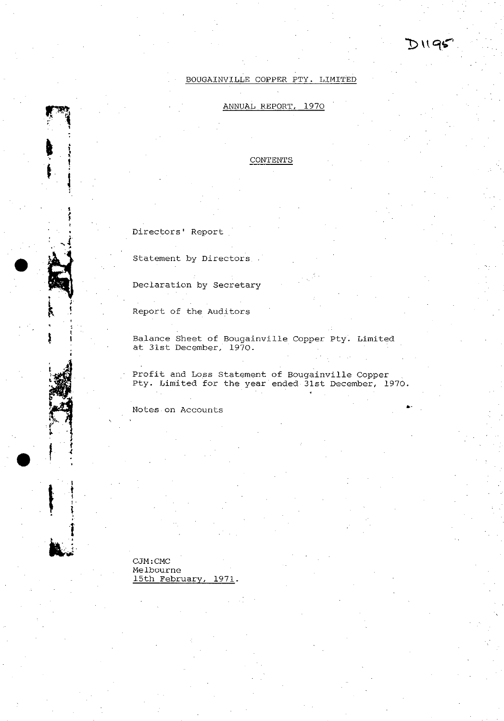

**. "** 

# BOUGAINVILLE COPPER PTY. LIMITED

# ANNUAL REPORT, 1970

CONTENTS

**Directors' Report** 

•

i. I  $\frac{1}{2}$ 

 $\frac{1}{2}$  $\mathbf{l}_{\perp}$ 

 $\sum_{i=1}^{n}$ 

•

I t ! ; -  $\ddot{\ddot{\}}$ 

 $\mathbf{h}^{\perp}$  :

**statement by Directors** 

Declaration by Secretary

Report of the Auditors

Balance Sheet of Bougainville Copper pty. Limited at 31st December, 1970.

Profit and Loss Statement of Bougainville Copper pty. Limited for the year ended 31st December, 1970 .

**Notes on Accounts** 

CJM:CMC **Melbourne**  15th February, 1971.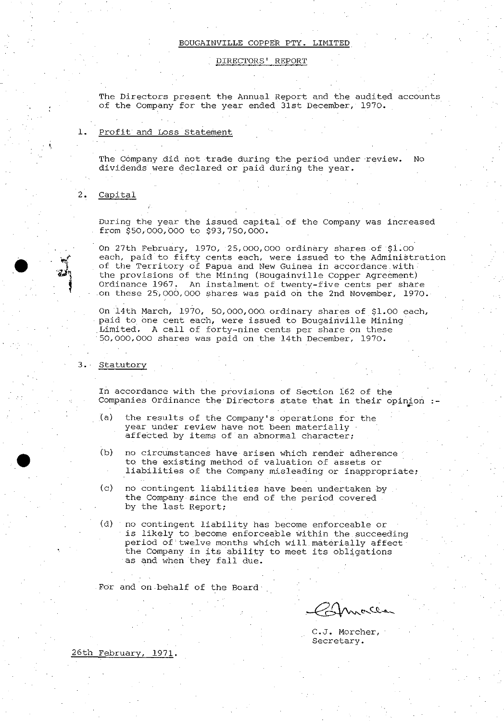### DIRECTORS' REPORT

The Directors present the Annual Report and the audited accounts of the Company for the year ended 31st December, 1970.

### 1. Profit and Loss Statement

The Company did not trade during the period under review. No dividends were declared or paid during the year.

# 2. Capital

'.

 $\bullet$ 

•

During the year the issued capital of the Company was increased from \$50,000,000 to \$93,750,000.

On 27th February, 1970, 25,000,000 ordinary shares of \$i.oo each, paid to fifty cents each, were issued to the Administration of the Territory of Papua and New Guinea in accordance with the provisions of the Mining (Bougainville Copper Agreement) Ordinance 1967. An instalment of twenty-five cents per share on these 25,000,000 shares was paid on the 2nd November, 1970.

On 14th March, 1970, 50,000,000. ordinary shares of \$1.00 each, paid to one cent each, were issued to Bougainville Mining Limited. A call of forty-nine cents per share on these 50,000,000 shares was paid on the 14th December, 1970.

3. Statutory

In accordance with the provisions of Section 162 of the Companies Ordinance the Directors state that in their opinion :-

- (a) the results of the Company's operations for the year under review have- not been materially affected by items of an abnormal character;
- (b) no circumstances have arisen which render adherence to. the existing method of valuation of assets or liabilities of the Company misleading or inappropriate:
- (c) no contingent liabilities have been undertaken by the Company since the end of the period covered by the last Report;
- (d) no contingent liability has become enforceable or is likely to become enforceable within the succeeding period of twelve months which will materially affect the Company in its ability to meet its obligations as and when they fall due.

For and on behalf of the Board

Ganca

C.J. Morcher, Secretary.

26th February, 1971.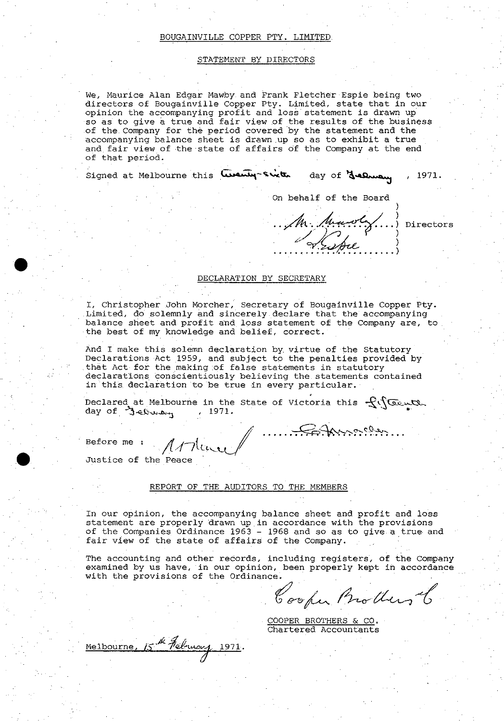### STATEMENT BY DIRECTORS

We, Maurice Alan Edgar Mawby and Frank Fletcher Espie being two directors of Bougainville Copper Pty. Limited, state that in our **opinion the accompanying profit and loss statement is drawn up·**  so as to give a true and fair view of the results of the business of the Company for the period covered by the statement and the accompanying balance sheet is drawn up so as to exhibit a true and fair view of the state of affairs of the Company at the end of that period.

Signed at Melbourne this **Cuenty-Sixth** day of **Jelhua**y , 1971.

On behalf of the Board

) •. ~ .•.. ~ •• ~ Directors Sistre )

### DECLARATION BY SECRETARY

I, Christopher John Morcher, Secretary of Bougainville Copper Pty. Limited, do solemnly and sincerely declare that the accompanying balance sheet and profit and loss statement of the Company are, to the best of my knowledge and belief, correct.

And I make this solemn declaration by virtue of the Statutory Declarations Act 1959, and subject to the penalties provided by that Act for the making of false statements in statutory **declarations. conscientiously believing the statements contained**  in this declaration to be true in every particular.

Declared at Melbourne in the State of Victoria this  $\mathcal{L}$ :  $\sqrt{G}$ 

Before me: Athene /  $\ell$ /llevel

Justice of the Peace

 $\bullet$  :

•

### REPORT OF THE AUDITORS TO THE MEMBERS

In our opinion, the accompanying balance sheet and profit and loss statement are properly drawn up in accordance with the provisions of the Companies Ordinance 1963 - 1968 and so as to give a true and fair view of the state of affairs of the Company.

The accounting and other records, including registers, of the Company **examined by us have, in our opinion, been properly kept in accordance**  with the provisions of the Ordinance.

Cooper Brothers &

COOPER BROTHERS & CO. Chartered Accountants

Melbourne, 15th February 1971.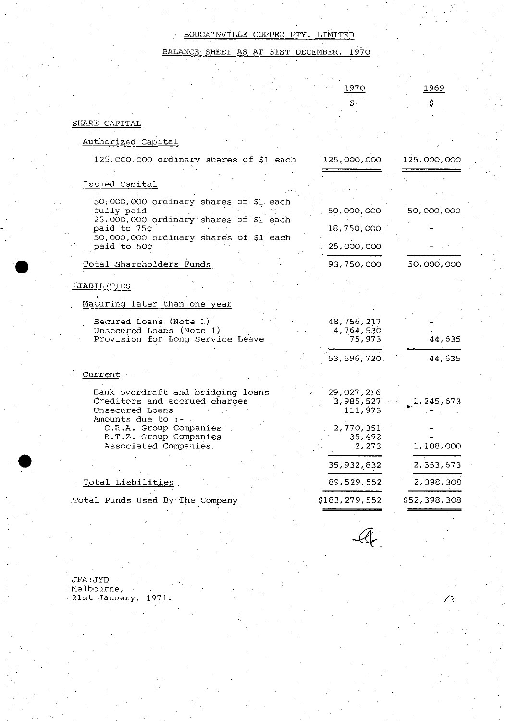BALANCE SHEET AS AT 31ST DECEMBER, 1970

|                                                                                                            | 1970<br>\$.                        | 1969         |
|------------------------------------------------------------------------------------------------------------|------------------------------------|--------------|
| SHARE CAPITAL                                                                                              |                                    | \$           |
| Authorized Capital                                                                                         |                                    |              |
| 125,000,000 ordinary shares of \$1 each                                                                    | 125,000,000                        | 125,000,000  |
| Issued Capital                                                                                             |                                    |              |
| 50,000,000 ordinary shares of \$1 each<br>fully paid                                                       | 50,000,000                         | 50,000,000   |
| 25,000,000 ordinary shares of \$1 each<br>paid to 75¢                                                      | 18,750,000.                        |              |
| 50,000,000 ordinary shares of \$1 each<br>paid to 50¢                                                      | 25,000,000                         |              |
| Total Shareholders Funds                                                                                   | 93,750,000                         | 50,000,000   |
| LIABILITIES                                                                                                |                                    |              |
| Maturing later than one year                                                                               |                                    |              |
| Secured Loans (Note 1)<br>Unsecured Loans (Note 1)<br>Provision for Long Service Leave                     | 48,756,217<br>4,764,530<br>75,973  | 44,635       |
|                                                                                                            | 53,596,720.                        | 44,635       |
| Current                                                                                                    |                                    |              |
| Bank overdraft and bridging loans<br>Creditors and accrued charges<br>Unsecured Loans<br>Amounts due to :- | 29,027,216<br>3,985,527<br>111,973 | 1, 245, 673  |
| C.R.A. Group Companies<br>R.T.Z. Group Companies<br>Associated Companies                                   | 2,770,351<br>35,492<br>2,273       | 1,108,000    |
|                                                                                                            | 35, 932, 832                       | 2,353,673    |
| <u>Total Liabilities</u>                                                                                   | 89,529,552                         | 2,398,308    |
| Total Funds Used By The Company                                                                            | \$183,279,552                      | \$52,398,308 |
|                                                                                                            |                                    |              |

/2

JFA:JYD **Melbourne,**  21st January, 1971.

•

•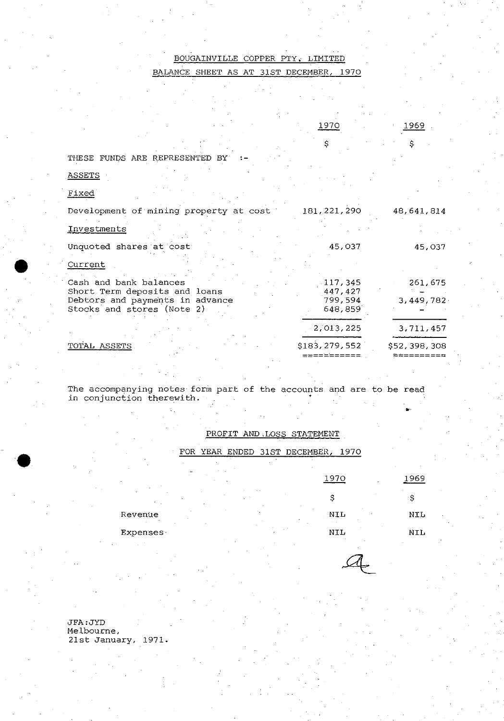BALANCE SHEET AS AT 31ST DECEMBER, 1970

| 970<br>Ŧ |  |
|----------|--|
|          |  |
|          |  |

1969

\$

•.

\$

THESE FUNDS ARE REPRESENTED BY

- ASSETS
- Fixed

•

•

| Development of mining property at cost                                                         | 181, 221, 290                 | 48,641,814   |
|------------------------------------------------------------------------------------------------|-------------------------------|--------------|
| Investments                                                                                    |                               |              |
| Unquoted shares at cost                                                                        | 45,037                        | 45.037       |
| Current                                                                                        |                               |              |
| Cash and bank balances                                                                         | .117.345                      | 261,675      |
| Short Term deposits and loans<br>Debtors and payments in advance<br>Stocks and stores (Note 2) | 447.427<br>799,594<br>648,859 | 3,449,782    |
|                                                                                                | $-2,013,225$                  | 3,711,457    |
| TOTAL ASSETS                                                                                   | \$183,279,552                 | \$52,398,308 |

**The accompanying notes form part of the accounts and are to be read**  in conjunction therewith.

PROFIT AND ,LOSS STATEMENT

FOR YEAR ENDED 31ST DECEMBER, 1970

| $\sim$                        | 1970 | 1969       |
|-------------------------------|------|------------|
| $\sim$ $\sim$<br>$\mathbf{A}$ |      |            |
| Revenue                       | NIL  | NIL        |
| <b>Expenses</b>               | NIL  | <b>NIL</b> |

 $a$ 

JFA:JYD **Melbourne,**  21st January, 1971.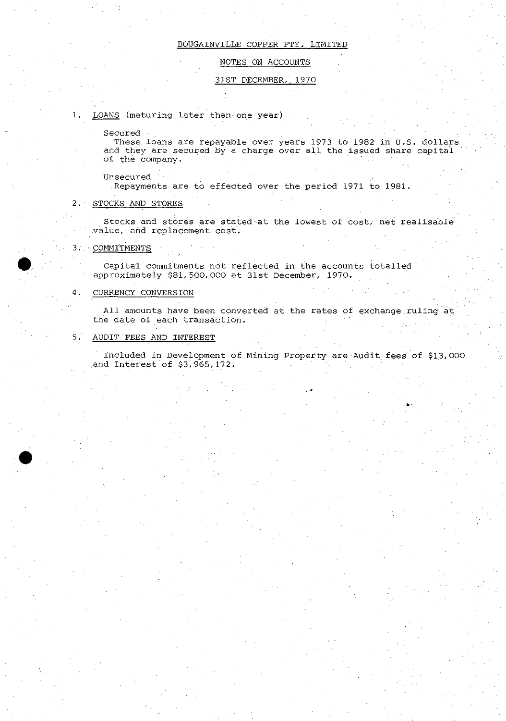# NOTES ON ACCOUNTS

## 31ST DECEMBER, 1970

# **1.** LOANS (maturing later than one year)

**Secured** 

These loans are repayable over years 1973 to 1982 in **U.S.** dollars **and they are secured by a charge over all the issued share capital**  of the company.

**Unsecured** 

Repayments are to effected over the period 1971 to 1981.

### 2. STOCKS AND STORES

Stocks and stores are stated'at the lowest of cost, net realisable **value, and replacement cost.** 

### 3. COMMITMENT§

•

• Capital commitments not reflected in the accounts totalled approximately \$81, 500,000 at 31st December, 1970.

## 4. CURRENCY CONVERSION

**All amounts have been converted at the rates ,of exchange ruling 'at: the date of each transaction.** 

# 5. AUDIT FEES AND INTEREST

Included in, Development of Mining Property are Audit, fees of \$13,000 and Interest of \$3,965,172.

**»,**